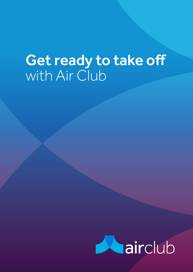## Get ready to take off with Air Club

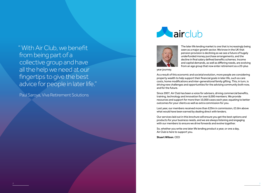" With Air Club, we benefit from being part of a collective group and have all the help we need at our fingertips to give the best advice for people in later life."

Paul Saroya, Viva Retirement Solutions





The later life lending market is one that is increasingly being seen as a major growth sector. We know in the UK that pension provision is declining as we see a future of hugely underfunded money purchase arrangements, and the decline in final salary defined benefits schemes. Income and capital demands, as well as differing needs, are evolving from an age group that now enter retirement as a 20-plus

year journey.

As a result of this economic and societal evolution, more people are considering property wealth to help support their financial goals in later life, such as care costs, home modifications and inter-generational family gifting. This, in turn, is driving new challenges and opportunities for the advising community both now, and for the future.

Since 2007, Air Club has been a voice for advisers, driving commercial benefits, training, technology and innovation for over 8,000 members. We provide resources and support for more than 10,000 cases each year, equating to better outcomes for your clients as well as extra commission for you.

Last year, our members received more than £29m in commission, £3.8m above what would have been earned by dealing direct with lenders.

Our services laid out in this brochure will ensure you get the best options and products for your business needs, and we are always listening and engaging with our members to ensure we drive forwards and evolve together.

So, whether you write one later life lending product a year, or one a day, Air Club is here to support you.

**Stuart Wilson**, CEO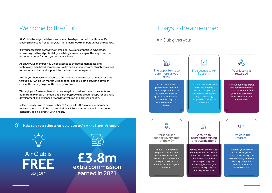## Welcome to the Club It pays to be a member

Air Club is the largest adviser-centric membership scheme in the UK later life lending market and free to join, with more than 8,000 members across the country.

It's your accessible gateway to increasing levels of competitive advantage, business growth and profitability; enabling you every step of the way to secure better outcomes for both you and your clients.

As an Air Club member, you unlock access to the latest market-leading technology, significant commercial uplifts and a unique rewards structure, as well as on-demand help and support from subject matter experts.

And as you increase your expertise and volume, you can access greater rewards through our whole-of-market Elite or panel-based Select tiers, both of which ensure the more you grow, the more you earn.

Through your free membership, you also gain exclusive access to products and deals from a variety of lenders and partners; providing greater scope for business development and enhanced rewards for volume and professionalism.

In fact, it really pays to be a member of Air Club. In 2021 alone, our members received more than £29m in commission, £3.8m above what would have been earned by dealing directly with lenders.



#### Air Club gives you:









£3.8m extra commission earned in 2021

! Make sure your submission route is set to Air with all later life lenders

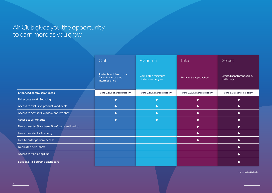\*vs going direct to lender

|                                                  | Club                                                                 | Platinum                                    | <b>Elite</b>                  | Select                                    |
|--------------------------------------------------|----------------------------------------------------------------------|---------------------------------------------|-------------------------------|-------------------------------------------|
|                                                  | Available and free to use<br>for all FCA regulated<br>intermediaries | Complete a minimum<br>of six cases per year | Firms to be approached        | Limited panel proposition.<br>Invite only |
| <b>Enhanced commission rates</b>                 | Up to 0.2% higher commission*                                        | Up to 0.4% higher commission*               | Up to 0.6% higher commission* | Up to 1% higher commission*               |
| <b>Full access to Air Sourcing</b>               | $\bullet$                                                            | $\bullet$                                   | $\bullet$                     | $\bullet$                                 |
| Access to exclusive products and deals           | $\bullet$                                                            | $\bullet$                                   | $\bullet$                     | $\bullet$                                 |
| Access to Adviser Helpdesk and live chat         | $\bullet$                                                            | $\bullet$                                   | $\bullet$                     | $\bullet$                                 |
| <b>Access to WriteRoute</b>                      | $\bullet$                                                            | $\bullet$                                   | $\bullet$                     | $\bullet$                                 |
| Free access to State benefit software entitledto |                                                                      |                                             | $\bullet$                     | $\bullet$                                 |
| Free access to Air Academy                       |                                                                      |                                             | $\bullet$                     | $\bullet$                                 |
| Free Knowledge Bank access                       |                                                                      |                                             | $\bullet$                     | $\bullet$                                 |
| Dedicated help inbox                             |                                                                      |                                             |                               | $\bullet$                                 |
| <b>Access to Marketing Hub</b>                   |                                                                      |                                             |                               | $\bullet$                                 |
| Bespoke Air Sourcing dashboard                   |                                                                      |                                             |                               |                                           |

## Air Club gives you the opportunity to earn more as you grow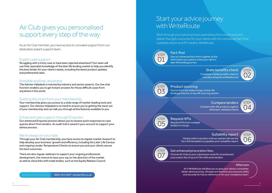### Air Club gives you personalised support every step of the way

As an Air Club member, you have access to unrivaled support from our dedicated, expert support team.

#### Expert case support

Struggling with a tricky case or have been rejected elsewhere? Our team will use their specialist knowledge of the later life lending market to help you identify the best lender for your client's needs, including the latest product updates and preferential rates.

#### Available anytime, anywhere

The Adviser Helpdesk is manned by industry and sector experts. Our live chat function enables you to get instant answers for those difficult cases from anywhere in the world.

#### Getting the most from your membership

Your membership gives you access to a wide range of market-leading tools and support. Our Adviser Helpdesk is on hand to ensure you're getting the most out of your membership and can talk you through all the features available to you.

#### Enhanced case support through Enquiries

Complete a State benefits check in minutes using the entitledto tool State benefits check STEP

Our enhanced Enquiries process allows you to receive quick responses to case queries direct from lenders. An audit trail is saved in your account to support your advice process.

#### We're always on your side

Air's WriteRoute will allow you to give your clients a smoother, slicker advice journey. All steps are stored in your account safely and securely for future reference or for your compliance team.

Through your Air Club membership, you have access to regular market research to help develop your business' growth and efficiency, including the Later Life Census and ongoing Lender Temperature Checks to ensure you and your clients secure the best outcomes.

There are also regular webinars to support your ongoing professional development, the chance to have your say on the direction of the market as well as close links with trade bodies, such as the Equity Release Council.

# Start your advice journey<br>with WriteRoute

lenders in one go

Source from the widest range of later life lending products on any UK sourcing system

Use our enhanced fact-find to gather all the information you need to start your client's later life lending journey

Simply select a product and our system will use the fact-find template to populate your suitability report

#### Request KFIs from multiple Request KFIs

Compare later life products against all lenders' detailed criteria Compare lenders

Choose Air Club as your submission route for an enhanced procuration fee of up to 0.75% with some lenders Get enhanced procuration fees







#### STEP 03 Product sourcing

#### Fact-find



#### Aftercare





Suitability report STEP

Work through your advice process seamlessly from end to end and deliver the right outcomes for your clients with Air's enhanced fact-find, suitability report and KFI creator, WriteRoute.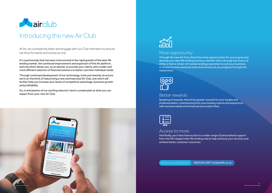

### Introducing the new Air Club

At Air, we consistently listen and engage with our Club members to ensure we drive forwards and evolve as one.

It's a partnership that has been instrumental in the rapid growth of the later life lending market, the continued improvement and expansion of the Air platform, and one which allows you, as an adviser, to provide your clients with a wider and more efficient selection of financial solutions to better suit their individual needs.

Through continued development of our technology, tools and rewards structure, we're on the brink of relaunching a new and improved Air Club; one which will further help you increase your levels of competitive advantage, business growth and profitability.

So, in anticipation of our exciting relaunch, here's a sneak peek at what you can expect from your new Air Club.

> And finally, you'll also have access to a wider range of personalised support from the UK's largest later life lending club to help enhance your services and achieve better customer outcomes.

Get in touch to find out more: 0800 294 5097 | airlaterlife.co.uk

#### More opportunity

Through the new Air Club, there'll be more opportunities for you to grow and develop your later life lending business, whether that's through the choice of either a tied or whole-of-market lending proposition to suit your business, or access to more exclusive tools and services as you progress through the reward tiers.



#### Better rewards

Speaking of rewards, there'll be greater rewards for your loyalty and professionalism, championing both your lending volume and experience with exclusive deals and enhanced procuration fees.

|  | v.       |  |  |
|--|----------|--|--|
|  | a p<br>c |  |  |
|  | T.       |  |  |
|  |          |  |  |

#### Access to more